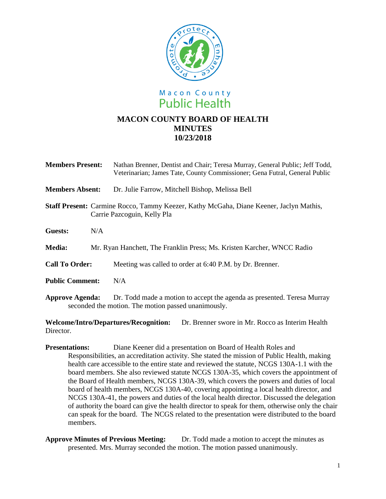

| <b>Members Present:</b>                                                                                                      | Nathan Brenner, Dentist and Chair; Teresa Murray, General Public; Jeff Todd,<br>Veterinarian; James Tate, County Commissioner; Gena Futral, General Public |
|------------------------------------------------------------------------------------------------------------------------------|------------------------------------------------------------------------------------------------------------------------------------------------------------|
| <b>Members Absent:</b>                                                                                                       | Dr. Julie Farrow, Mitchell Bishop, Melissa Bell                                                                                                            |
| <b>Staff Present:</b> Carmine Rocco, Tammy Keezer, Kathy McGaha, Diane Keener, Jaclyn Mathis,<br>Carrie Pazcoguin, Kelly Pla |                                                                                                                                                            |

- **Guests:** N/A
- **Media:** Mr. Ryan Hanchett, The Franklin Press; Ms. Kristen Karcher, WNCC Radio
- **Call To Order:** Meeting was called to order at 6:40 P.M. by Dr. Brenner.
- **Public Comment:** N/A
- **Approve Agenda:** Dr. Todd made a motion to accept the agenda as presented. Teresa Murray seconded the motion. The motion passed unanimously.

**Welcome/Intro/Departures/Recognition:** Dr. Brenner swore in Mr. Rocco as Interim Health Director.

- **Presentations:** Diane Keener did a presentation on Board of Health Roles and Responsibilities, an accreditation activity. She stated the mission of Public Health, making health care accessible to the entire state and reviewed the statute, NCGS 130A-1.1 with the board members. She also reviewed statute NCGS 130A-35, which covers the appointment of the Board of Health members, NCGS 130A-39, which covers the powers and duties of local board of health members, NCGS 130A-40, covering appointing a local health director, and NCGS 130A-41, the powers and duties of the local health director. Discussed the delegation of authority the board can give the health director to speak for them, otherwise only the chair can speak for the board. The NCGS related to the presentation were distributed to the board members.
- **Approve Minutes of Previous Meeting:** Dr. Todd made a motion to accept the minutes as presented. Mrs. Murray seconded the motion. The motion passed unanimously.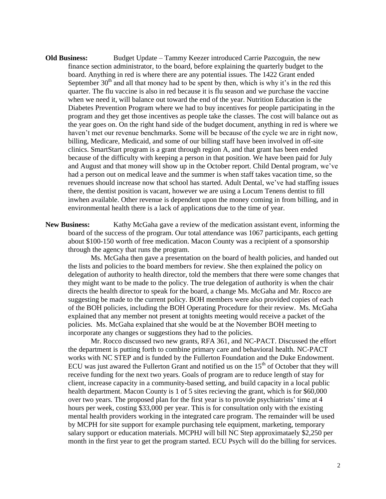**Old Business:** Budget Update – Tammy Keezer introduced Carrie Pazcoguin, the new finance section administrator, to the board, before explaining the quarterly budget to the board. Anything in red is where there are any potential issues. The 1422 Grant ended September  $30<sup>th</sup>$  and all that money had to be spent by then, which is why it's in the red this quarter. The flu vaccine is also in red because it is flu season and we purchase the vaccine when we need it, will balance out toward the end of the year. Nutrition Education is the Diabetes Prevention Program where we had to buy incentives for people participating in the program and they get those incentives as people take the classes. The cost will balance out as the year goes on. On the right hand side of the budget document, anything in red is where we haven't met our revenue benchmarks. Some will be because of the cycle we are in right now, billing, Medicare, Medicaid, and some of our billing staff have been involved in off-site clinics. SmartStart program is a grant through region A, and that grant has been ended because of the difficulty with keeping a person in that position. We have been paid for July and August and that money will show up in the October report. Child Dental program, we've had a person out on medical leave and the summer is when staff takes vacation time, so the revenues should increase now that school has started. Adult Dental, we've had staffing issues there, the dentist position is vacant, however we are using a Locum Tenens dentist to fill inwhen available. Other revenue is dependent upon the money coming in from billing, and in environmental health there is a lack of applications due to the time of year.

**New Business:** Kathy McGaha gave a review of the medication assistant event, informing the board of the success of the program. Our total attendance was 1067 participants, each getting about \$100-150 worth of free medication. Macon County was a recipient of a sponsorship through the agency that runs the program.

Ms. McGaha then gave a presentation on the board of health policies, and handed out the lists and policies to the board members for review. She then explained the policy on delegation of authority to health director, told the members that there were some changes that they might want to be made to the policy. The true delegation of authority is when the chair directs the health director to speak for the board, a change Ms. McGaha and Mr. Rocco are suggesting be made to the current policy. BOH members were also provided copies of each of the BOH policies, including the BOH Operating Procedure for their review. Ms. McGaha explained that any member not present at tonights meeting would receive a packet of the policies. Ms. McGaha explained that she would be at the November BOH meeting to incorporate any changes or suggestions they had to the policies.

Mr. Rocco discussed two new grants, RFA 361, and NC-PACT. Discussed the effort the department is putting forth to combine primary care and behavioral health. NC-PACT works with NC STEP and is funded by the Fullerton Foundation and the Duke Endowment. ECU was just awared the Fullerton Grant and notified us on the  $15<sup>th</sup>$  of October that they will receive funding for the next two years. Goals of program are to reduce length of stay for client, increase capacity in a community-based setting, and build capacity in a local public health department. Macon County is 1 of 5 sites recieving the grant, which is for \$60,000 over two years. The proposed plan for the first year is to provide psychiatrists' time at 4 hours per week, costing \$33,000 per year. This is for consultation only with the existing mental health providers working in the integrated care program. The remainder will be used by MCPH for site support for example purchasing tele equipment, marketing, temporary salary support or education materials. MCPHJ will bill NC Step approximataely \$2,250 per month in the first year to get the program started. ECU Psych will do the billing for services.